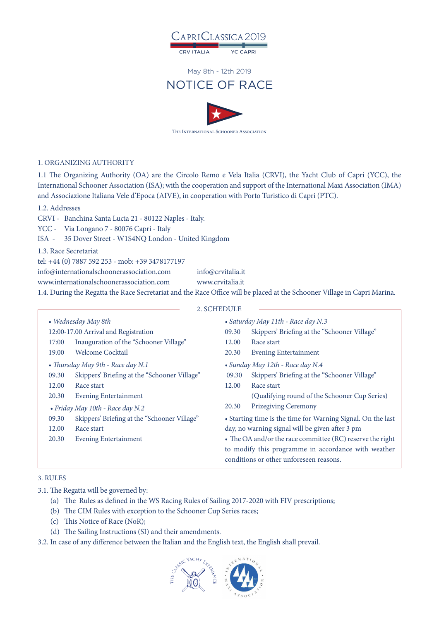

**CRV ITALIA YC CAPRI** 

#### May 8th - 12th 2019

# NOTICE OF RACE



#### 1. ORGANIZING AUTHORITY

1.1 The Organizing Authority (OA) are the Circolo Remo e Vela Italia (CRVI), the Yacht Club of Capri (YCC), the International Schooner Association (ISA); with the cooperation and support of the International Maxi Association (IMA) and Associazione Italiana Vele d'Epoca (AIVE), in cooperation with Porto Turistico di Capri (PTC).

#### 1.2. Addresses

CRVI - Banchina Santa Lucia 21 - 80122 Naples - Italy.

YCC - Via Longano 7 - 80076 Capri - Italy

ISA - 35 Dover Street - W1S4NQ London - United Kingdom

1.3. Race Secretariat

tel: +44 (0) 7887 592 253 - mob: +39 3478177197

info@internationalschoonerassociation.com info@crvitalia.it

www.internationalschoonerassociation.com www.crvitalia.it

1.4. During the Regatta the Race Secretariat and the Race Office will be placed at the Schooner Village in Capri Marina.

| 2. SCHEDULE |
|-------------|
|-------------|

| • Wednesday May 8th                   |                                              | • Saturday May 11th - Race day N.3                                                             |                                               |
|---------------------------------------|----------------------------------------------|------------------------------------------------------------------------------------------------|-----------------------------------------------|
| 12:00-17.00 Arrival and Registration  |                                              | 09.30                                                                                          | Skippers' Briefing at the "Schooner Village"  |
| 17:00                                 | Inauguration of the "Schooner Village"       | 12.00                                                                                          | Race start                                    |
| 19.00                                 | <b>Welcome Cocktail</b>                      | 20.30                                                                                          | <b>Evening Entertainment</b>                  |
| • Thursday May 9th - Race day N.1     |                                              | • Sunday May 12th - Race day N.4                                                               |                                               |
| 09.30                                 | Skippers' Briefing at the "Schooner Village" | 09.30                                                                                          | Skippers' Briefing at the "Schooner Village"  |
| 12.00                                 | Race start                                   | 12.00                                                                                          | Race start                                    |
| 20.30                                 | <b>Evening Entertainment</b>                 |                                                                                                | (Qualifying round of the Schooner Cup Series) |
|                                       | • Friday May 10th - Race day N.2             | 20.30                                                                                          | <b>Prizegiving Ceremony</b>                   |
| 09.30                                 | Skippers' Briefing at the "Schooner Village" | • Starting time is the time for Warning Signal. On the last                                    |                                               |
| 12.00                                 | Race start                                   | day, no warning signal will be given after 3 pm                                                |                                               |
| 20.30<br><b>Evening Entertainment</b> |                                              | • The OA and/or the race committee (RC) reserve the right                                      |                                               |
|                                       |                                              | to modify this programme in accordance with weather<br>conditions or other unforeseen reasons. |                                               |
|                                       |                                              |                                                                                                |                                               |

#### 3. RULES

3.1. The Regatta will be governed by:

- (a) The Rules as defined in the WS Racing Rules of Sailing 2017-2020 with FIV prescriptions;
- (b) The CIM Rules with exception to the Schooner Cup Series races;
- (c) This Notice of Race (NoR);
- (d) The Sailing Instructions (SI) and their amendments.

3.2. In case of any difference between the Italian and the English text, the English shall prevail.